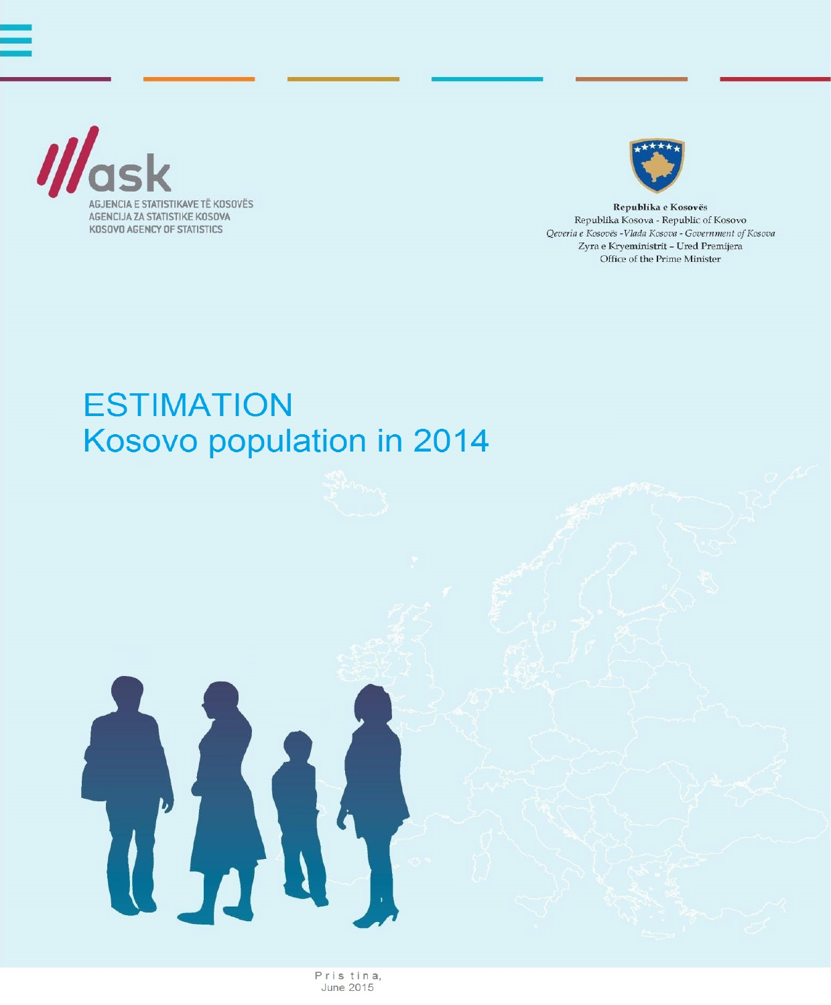



Republika e Kosovës Republika Kosova - Republic of Kosovo Qeveria e Kosovës -Vlada Kosova - Government of Kosova Zyra e Kryeministrit - Ured Premijera Office of the Prime Minister

# **ESTIMATION** Kosovo population in 2014

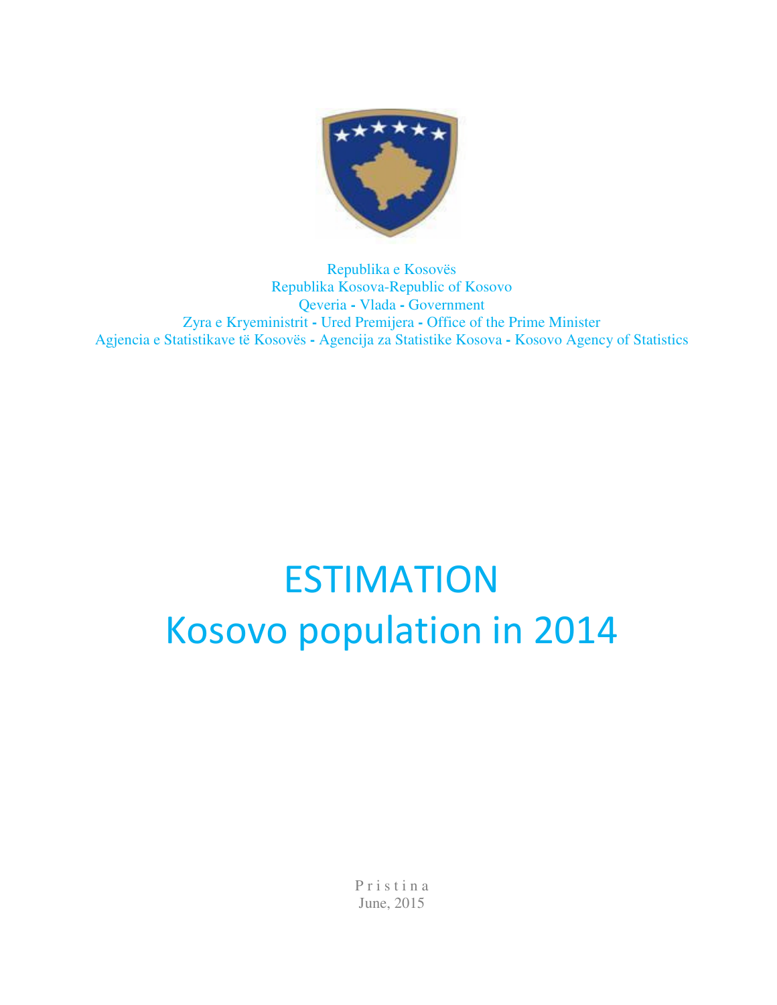

Republika e Kosovës Republika Kosova-Republic of Kosovo Qeveria **-** Vlada **-** Government Zyra e Kryeministrit **-** Ured Premijera **-** Office of the Prime Minister Agjencia e Statistikave të Kosovës **-** Agencija za Statistike Kosova **-** Kosovo Agency of Statistics

# ESTIMATION Kosovo population in 2014

P r i s t i n a June, 2015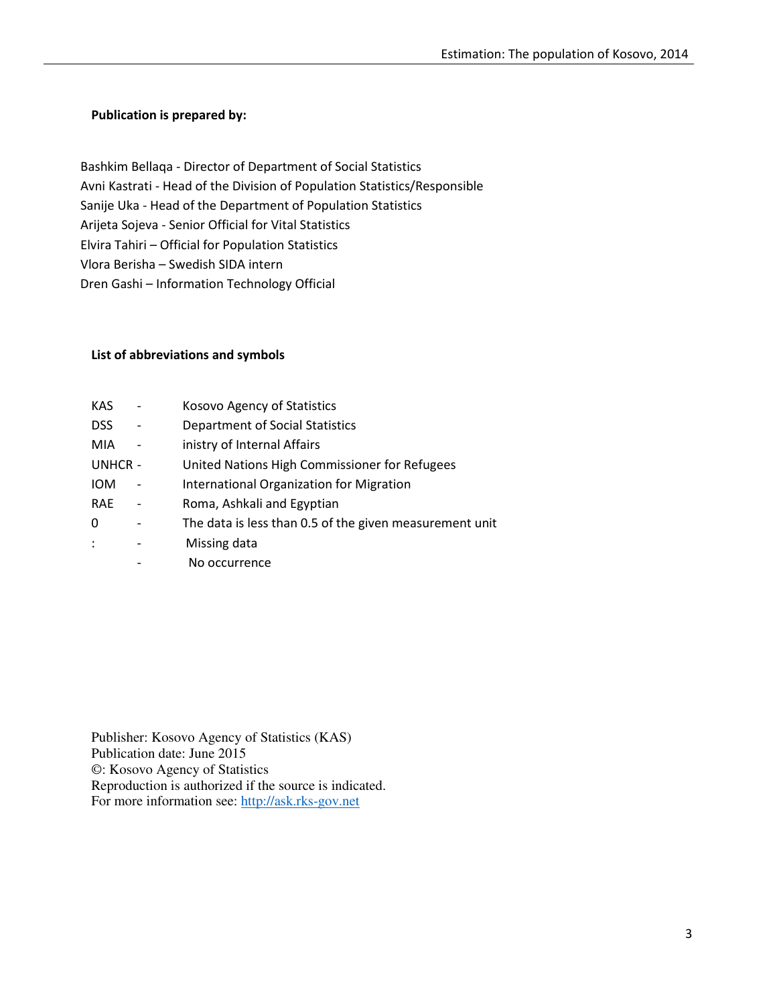#### Publication is prepared by:

 Bashkim Bellaqa - Director of Department of Social Statistics Avni Kastrati - Head of the Division of Population Statistics/Responsible Sanije Uka - Head of the Department of Population Statistics Arijeta Sojeva - Senior Official for Vital Statistics Elvira Tahiri – Official for Population Statistics Vlora Berisha – Swedish SIDA intern Dren Gashi – Information Technology Official

#### List of abbreviations and symbols

| <b>KAS</b>     | Kosovo Agency of Statistics                             |
|----------------|---------------------------------------------------------|
| <b>DSS</b>     | <b>Department of Social Statistics</b>                  |
| MIA            | inistry of Internal Affairs                             |
| UNHCR -        | United Nations High Commissioner for Refugees           |
| <b>IOM</b>     | International Organization for Migration                |
| <b>RAE</b>     | Roma, Ashkali and Egyptian                              |
| 0              | The data is less than 0.5 of the given measurement unit |
| $\ddot{\cdot}$ | Missing data                                            |
|                | No occurrence                                           |

Publisher: Kosovo Agency of Statistics (KAS) Publication date: June 2015 ©: Kosovo Agency of Statistics Reproduction is authorized if the source is indicated. For more information see: http://ask.rks-gov.net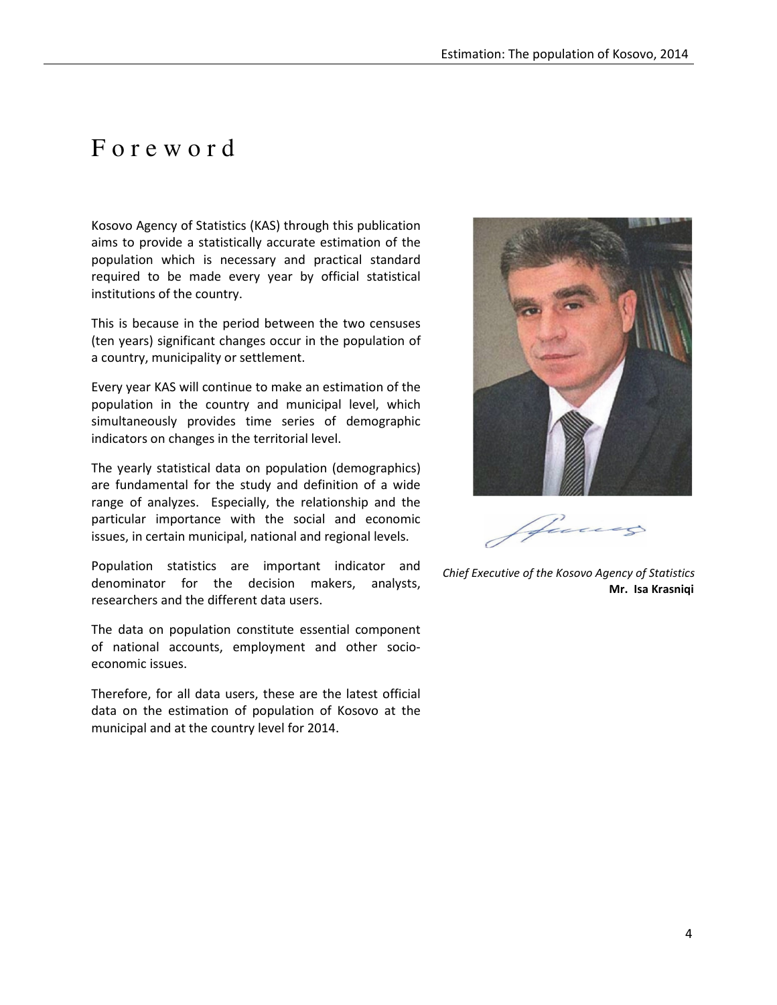# F o r e w o r d

Kosovo Agency of Statistics (KAS) through this publication aims to provide a statistically accurate estimation of the population which is necessary and practical standard required to be made every year by official statistical institutions of the country.

This is because in the period between the two censuses (ten years) significant changes occur in the population of a country, municipality or settlement.

Every year KAS will continue to make an estimation of the population in the country and municipal level, which simultaneously provides time series of demographic indicators on changes in the territorial level.

The yearly statistical data on population (demographics) are fundamental for the study and definition of a wide range of analyzes. Especially, the relationship and the particular importance with the social and economic issues, in certain municipal, national and regional levels.

Population statistics are important indicator and denominator for the decision makers, analysts, researchers and the different data users.

The data on population constitute essential component of national accounts, employment and other socioeconomic issues.

Therefore, for all data users, these are the latest official data on the estimation of population of Kosovo at the municipal and at the country level for 2014.



 Chief Executive of the Kosovo Agency of Statistics Mr. Isa Krasniqi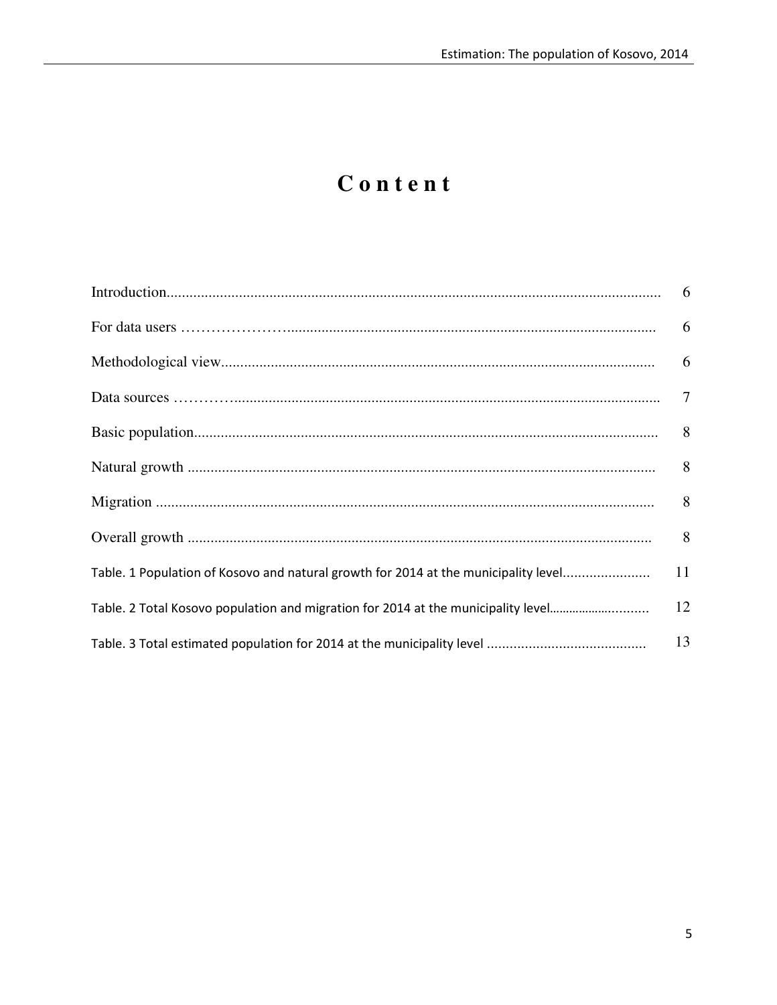# Content

| Table. 1 Population of Kosovo and natural growth for 2014 at the municipality level | 11 |
|-------------------------------------------------------------------------------------|----|
| Table. 2 Total Kosovo population and migration for 2014 at the municipality level   | 12 |
|                                                                                     | 13 |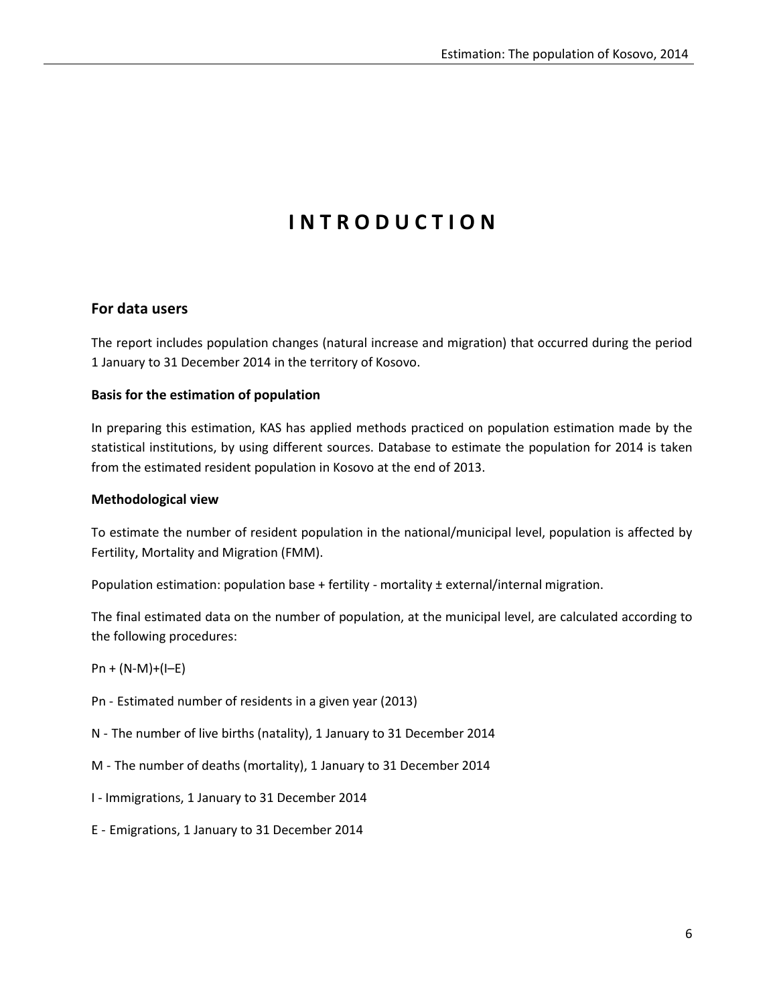# **INTRODUCTION**

#### For data users

The report includes population changes (natural increase and migration) that occurred during the period 1 January to 31 December 2014 in the territory of Kosovo.

#### Basis for the estimation of population

In preparing this estimation, KAS has applied methods practiced on population estimation made by the statistical institutions, by using different sources. Database to estimate the population for 2014 is taken from the estimated resident population in Kosovo at the end of 2013.

#### Methodological view

To estimate the number of resident population in the national/municipal level, population is affected by Fertility, Mortality and Migration (FMM).

Population estimation: population base + fertility - mortality ± external/internal migration.

The final estimated data on the number of population, at the municipal level, are calculated according to the following procedures:

- $Pn + (N-M)+(I-E)$
- Pn Estimated number of residents in a given year (2013)
- N The number of live births (natality), 1 January to 31 December 2014
- M The number of deaths (mortality), 1 January to 31 December 2014
- I Immigrations, 1 January to 31 December 2014
- E Emigrations, 1 January to 31 December 2014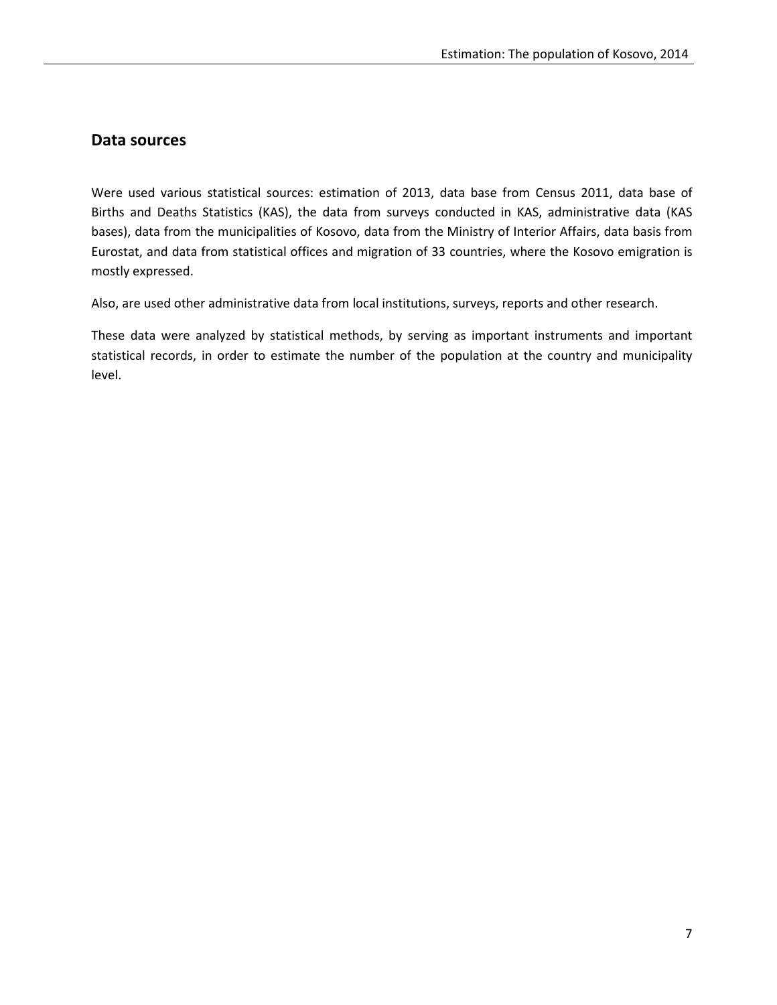## Data sources

Were used various statistical sources: estimation of 2013, data base from Census 2011, data base of Births and Deaths Statistics (KAS), the data from surveys conducted in KAS, administrative data (KAS bases), data from the municipalities of Kosovo, data from the Ministry of Interior Affairs, data basis from Eurostat, and data from statistical offices and migration of 33 countries, where the Kosovo emigration is mostly expressed.

Also, are used other administrative data from local institutions, surveys, reports and other research.

These data were analyzed by statistical methods, by serving as important instruments and important statistical records, in order to estimate the number of the population at the country and municipality level.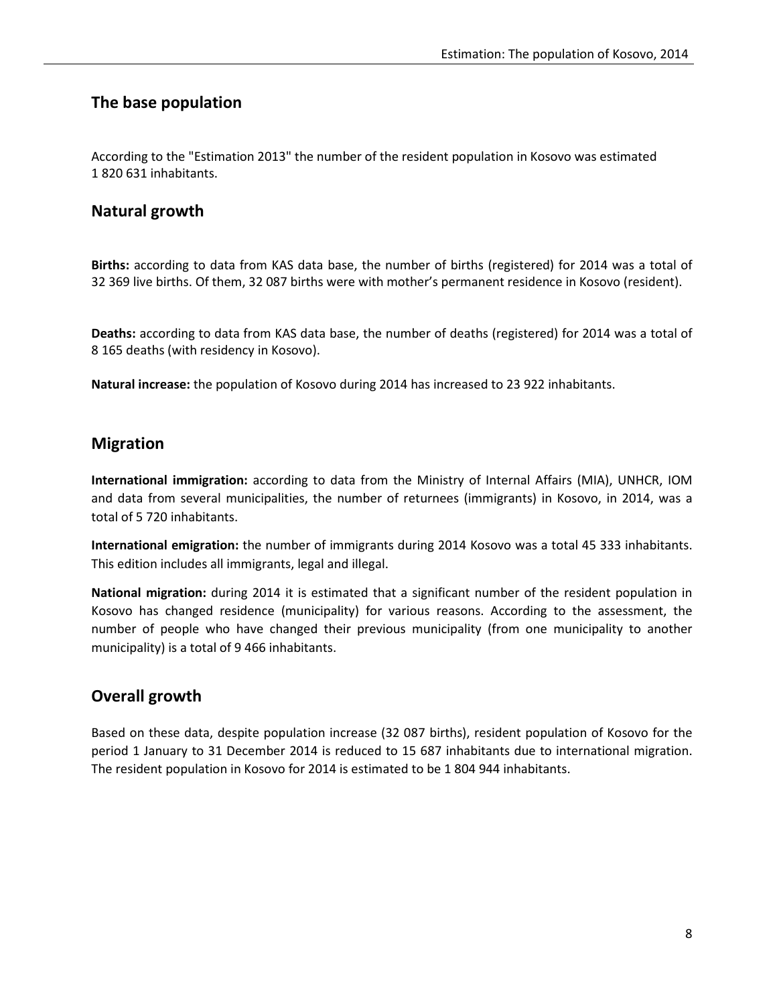## The base population

According to the "Estimation 2013" the number of the resident population in Kosovo was estimated 1 820 631 inhabitants.

## Natural growth

Births: according to data from KAS data base, the number of births (registered) for 2014 was a total of 32 369 live births. Of them, 32 087 births were with mother's permanent residence in Kosovo (resident).

Deaths: according to data from KAS data base, the number of deaths (registered) for 2014 was a total of 8 165 deaths (with residency in Kosovo).

Natural increase: the population of Kosovo during 2014 has increased to 23 922 inhabitants.

## Migration

International immigration: according to data from the Ministry of Internal Affairs (MIA), UNHCR, IOM and data from several municipalities, the number of returnees (immigrants) in Kosovo, in 2014, was a total of 5 720 inhabitants.

International emigration: the number of immigrants during 2014 Kosovo was a total 45 333 inhabitants. This edition includes all immigrants, legal and illegal.

National migration: during 2014 it is estimated that a significant number of the resident population in Kosovo has changed residence (municipality) for various reasons. According to the assessment, the number of people who have changed their previous municipality (from one municipality to another municipality) is a total of 9 466 inhabitants.

## Overall growth

Based on these data, despite population increase (32 087 births), resident population of Kosovo for the period 1 January to 31 December 2014 is reduced to 15 687 inhabitants due to international migration. The resident population in Kosovo for 2014 is estimated to be 1 804 944 inhabitants.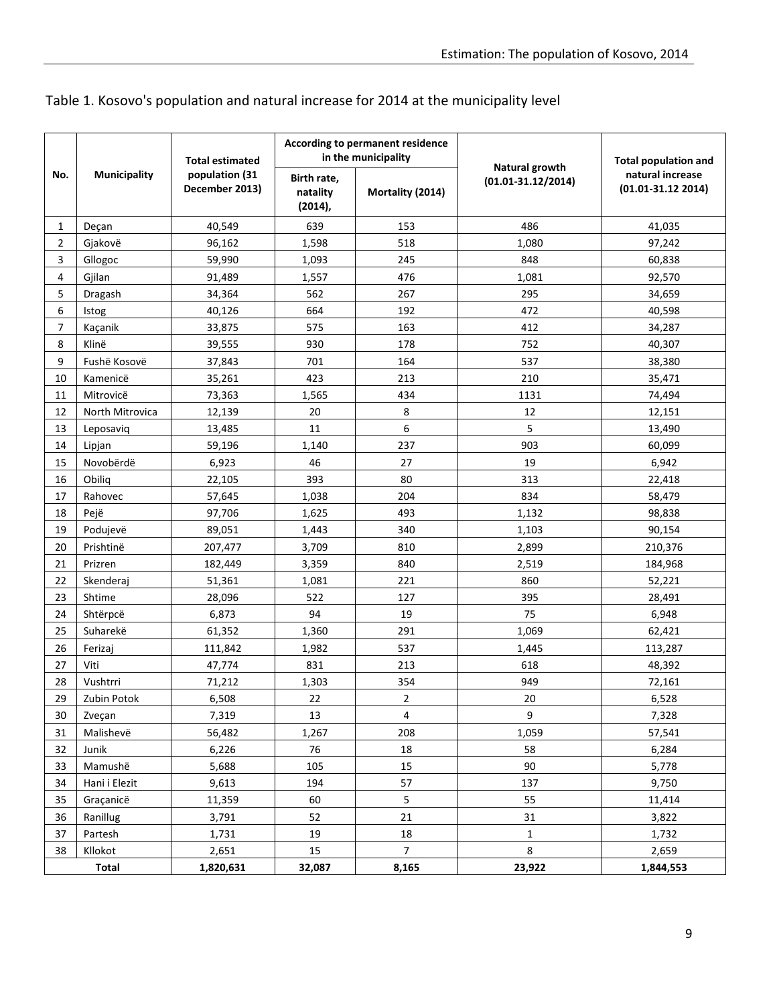|  |  | Table 1. Kosovo's population and natural increase for 2014 at the municipality level |
|--|--|--------------------------------------------------------------------------------------|
|--|--|--------------------------------------------------------------------------------------|

|                | <b>Municipality</b> | <b>Total estimated</b>           |                                       | According to permanent residence<br>in the municipality | Natural growth         | <b>Total population and</b><br>natural increase<br>$(01.01 - 31.12 2014)$ |  |
|----------------|---------------------|----------------------------------|---------------------------------------|---------------------------------------------------------|------------------------|---------------------------------------------------------------------------|--|
| No.            |                     | population (31<br>December 2013) | Birth rate,<br>natality<br>$(2014)$ , | Mortality (2014)                                        | $(01.01 - 31.12/2014)$ |                                                                           |  |
| 1              | Deçan               | 40,549                           | 639                                   | 153                                                     | 486                    | 41,035                                                                    |  |
| $\overline{2}$ | Gjakovë             | 96,162                           | 1,598                                 | 518                                                     | 1,080                  | 97,242                                                                    |  |
| 3              | Gllogoc             | 59,990                           | 1,093                                 | 245                                                     | 848                    | 60,838                                                                    |  |
| 4              | Gjilan              | 91,489                           | 1,557                                 | 476                                                     | 1,081                  | 92,570                                                                    |  |
| 5              | Dragash             | 34,364                           | 562                                   | 267                                                     | 295                    | 34,659                                                                    |  |
| 6              | Istog               | 40,126                           | 664                                   | 192                                                     | 472                    | 40,598                                                                    |  |
| 7              | Kaçanik             | 33,875                           | 575                                   | 163                                                     | 412                    | 34,287                                                                    |  |
| 8              | Klinë               | 39,555                           | 930                                   | 178                                                     | 752                    | 40,307                                                                    |  |
| 9              | Fushë Kosovë        | 37,843                           | 701                                   | 164                                                     | 537                    | 38,380                                                                    |  |
| 10             | Kamenicë            | 35,261                           | 423                                   | 213                                                     | 210                    | 35,471                                                                    |  |
| 11             | Mitrovicë           | 73,363                           | 1,565                                 | 434                                                     | 1131                   | 74,494                                                                    |  |
| 12             | North Mitrovica     | 12,139                           | 20                                    | 8                                                       | 12                     | 12,151                                                                    |  |
| 13             | Leposaviq           | 13,485                           | 11                                    | 6                                                       | 5                      | 13,490                                                                    |  |
| 14             | Lipjan              | 59,196                           | 1,140                                 | 237                                                     | 903                    | 60,099                                                                    |  |
| 15             | Novobërdë           | 6,923                            | 46                                    | 27                                                      | 19                     | 6,942                                                                     |  |
| 16             | Obiliq              | 22,105                           | 393                                   | 80                                                      | 313                    | 22,418                                                                    |  |
| 17             | Rahovec             | 57,645                           | 1,038                                 | 204                                                     | 834                    | 58,479                                                                    |  |
| 18             | Pejë                | 97,706                           | 1,625                                 | 493                                                     | 1,132                  | 98,838                                                                    |  |
| 19             | Podujevë            | 89,051                           | 1,443                                 | 340                                                     | 1,103                  | 90,154                                                                    |  |
| 20             | Prishtinë           | 207,477                          | 3,709                                 | 810                                                     | 2,899                  | 210,376                                                                   |  |
| 21             | Prizren             | 182,449                          | 3,359                                 | 840                                                     | 2,519                  | 184,968                                                                   |  |
| 22             | Skenderaj           | 51,361                           | 1,081                                 | 221                                                     | 860                    | 52,221                                                                    |  |
| 23             | Shtime              | 28,096                           | 522                                   | 127                                                     | 395                    | 28,491                                                                    |  |
| 24             | Shtërpcë            | 6,873                            | 94                                    | 19                                                      | 75                     | 6,948                                                                     |  |
| 25             | Suharekë            | 61,352                           | 1,360                                 | 291                                                     | 1,069                  | 62,421                                                                    |  |
| 26             | Ferizaj             | 111,842                          | 1,982                                 | 537                                                     | 1,445                  | 113,287                                                                   |  |
| 27             | Viti                | 47,774                           | 831                                   | 213                                                     | 618                    | 48,392                                                                    |  |
| 28             | Vushtrri            | 71,212                           | 1,303                                 | 354                                                     | 949                    | 72,161                                                                    |  |
| 29             | Zubin Potok         | 6,508                            | 22                                    | $\mathbf 2$                                             | $20\,$                 | 6,528                                                                     |  |
| 30             | Zveçan              | 7,319                            | 13                                    | $\overline{4}$                                          | 9                      | 7,328                                                                     |  |
| 31             | Malishevë           | 56,482                           | 1,267                                 | 208                                                     | 1,059                  | 57,541                                                                    |  |
| 32             | Junik               | 6,226                            | 76                                    | 18                                                      | 58                     | 6,284                                                                     |  |
| 33             | Mamushë             | 5,688                            | 105                                   | 15                                                      | 90                     | 5,778                                                                     |  |
| 34             | Hani i Elezit       | 9,613                            | 194                                   | 57                                                      | 137                    | 9,750                                                                     |  |
| 35             | Graçanicë           | 11,359                           | 60                                    | 5                                                       | 55                     | 11,414                                                                    |  |
| 36             | Ranillug            | 3,791                            | 52                                    | 21                                                      | 31                     | 3,822                                                                     |  |
| 37             | Partesh             | 1,731                            | 19                                    | 18                                                      | $\mathbf 1$            | 1,732                                                                     |  |
| 38             | Kllokot             | 2,651                            | 15                                    | $\overline{7}$                                          | 8                      | 2,659                                                                     |  |
| Total          |                     | 1,820,631                        | 32,087                                | 8,165                                                   | 23,922                 | 1,844,553                                                                 |  |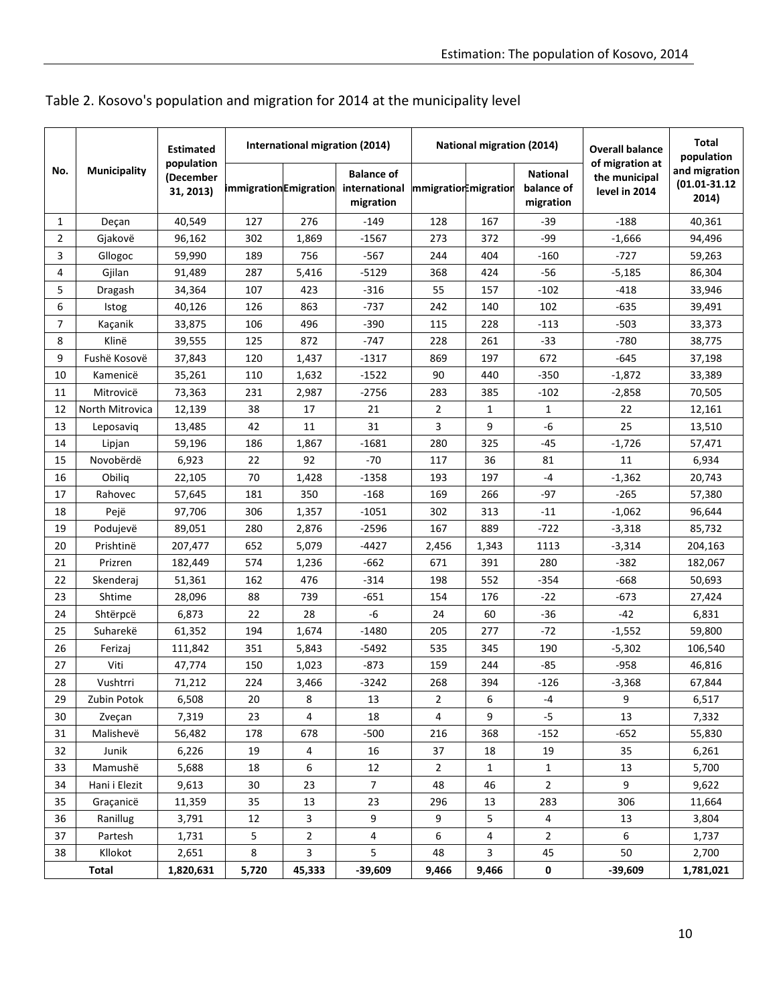|                | Municipality    | <b>Estimated</b><br>population<br>(December<br>31, 2013) | International migration (2014) |              |                                                 | <b>National migration (2014)</b> |              |                                            | <b>Overall balance</b>                            | Total<br>population                         |
|----------------|-----------------|----------------------------------------------------------|--------------------------------|--------------|-------------------------------------------------|----------------------------------|--------------|--------------------------------------------|---------------------------------------------------|---------------------------------------------|
| No.            |                 |                                                          | <b>immigrationEmigration</b>   |              | <b>Balance of</b><br>international<br>migration | mmigration migration             |              | <b>National</b><br>balance of<br>migration | of migration at<br>the municipal<br>level in 2014 | and migration<br>$(01.01 - 31.12)$<br>2014) |
| 1              | Deçan           | 40,549                                                   | 127                            | 276          | $-149$                                          | 128                              | 167          | -39                                        | $-188$                                            | 40,361                                      |
| $\overline{2}$ | Gjakovë         | 96,162                                                   | 302                            | 1,869        | $-1567$                                         | 273                              | 372          | -99                                        | $-1,666$                                          | 94,496                                      |
| 3              | Gllogoc         | 59,990                                                   | 189                            | 756          | $-567$                                          | 244                              | 404          | $-160$                                     | $-727$                                            | 59,263                                      |
| 4              | Gjilan          | 91,489                                                   | 287                            | 5,416        | $-5129$                                         | 368                              | 424          | $-56$                                      | $-5,185$                                          | 86,304                                      |
| 5              | Dragash         | 34,364                                                   | 107                            | 423          | $-316$                                          | 55                               | 157          | $-102$                                     | -418                                              | 33,946                                      |
| 6              | <b>Istog</b>    | 40,126                                                   | 126                            | 863          | $-737$                                          | 242                              | 140          | 102                                        | $-635$                                            | 39,491                                      |
| 7              | Kaçanik         | 33,875                                                   | 106                            | 496          | $-390$                                          | 115                              | 228          | $-113$                                     | $-503$                                            | 33,373                                      |
| 8              | Klinë           | 39,555                                                   | 125                            | 872          | -747                                            | 228                              | 261          | -33                                        | $-780$                                            | 38,775                                      |
| 9              | Fushë Kosovë    | 37,843                                                   | 120                            | 1,437        | $-1317$                                         | 869                              | 197          | 672                                        | $-645$                                            | 37,198                                      |
| 10             | Kamenicë        | 35,261                                                   | 110                            | 1,632        | $-1522$                                         | 90                               | 440          | $-350$                                     | $-1,872$                                          | 33,389                                      |
| 11             | Mitrovicë       | 73,363                                                   | 231                            | 2,987        | $-2756$                                         | 283                              | 385          | $-102$                                     | $-2,858$                                          | 70,505                                      |
| 12             | North Mitrovica | 12,139                                                   | 38                             | 17           | 21                                              | 2                                | $\mathbf{1}$ | 1                                          | 22                                                | 12,161                                      |
| 13             | Leposavig       | 13,485                                                   | 42                             | 11           | 31                                              | 3                                | 9            | -6                                         | 25                                                | 13,510                                      |
| 14             | Lipjan          | 59,196                                                   | 186                            | 1,867        | $-1681$                                         | 280                              | 325          | $-45$                                      | $-1,726$                                          | 57,471                                      |
| 15             | Novobërdë       | 6,923                                                    | 22                             | 92           | $-70$                                           | 117                              | 36           | 81                                         | 11                                                | 6,934                                       |
| 16             | Obilig          | 22.105                                                   | 70                             | 1,428        | $-1358$                                         | 193                              | 197          | -4                                         | $-1,362$                                          | 20,743                                      |
| 17             | Rahovec         | 57,645                                                   | 181                            | 350          | $-168$                                          | 169                              | 266          | $-97$                                      | $-265$                                            | 57,380                                      |
| 18             | Pejë            | 97,706                                                   | 306                            | 1,357        | $-1051$                                         | 302                              | 313          | $-11$                                      | $-1,062$                                          | 96,644                                      |
| 19             | Podujevë        | 89,051                                                   | 280                            | 2,876        | $-2596$                                         | 167                              | 889          | $-722$                                     | $-3,318$                                          | 85,732                                      |
| 20             | Prishtinë       | 207,477                                                  | 652                            | 5,079        | -4427                                           | 2,456                            | 1,343        | 1113                                       | $-3,314$                                          | 204,163                                     |
| 21             | Prizren         | 182,449                                                  | 574                            | 1,236        | $-662$                                          | 671                              | 391          | 280                                        | -382                                              | 182,067                                     |
| 22             | Skenderaj       | 51,361                                                   | 162                            | 476          | $-314$                                          | 198                              | 552          | $-354$                                     | -668                                              | 50,693                                      |
| 23             | Shtime          | 28,096                                                   | 88                             | 739          | -651                                            | 154                              | 176          | $-22$                                      | $-673$                                            | 27,424                                      |
| 24             | Shtërpcë        | 6,873                                                    | 22                             | 28           | $-6$                                            | 24                               | 60           | $-36$                                      | -42                                               | 6,831                                       |
| 25             | Suharekë        | 61,352                                                   | 194                            | 1,674        | $-1480$                                         | 205                              | 277          | $-72$                                      | $-1,552$                                          | 59,800                                      |
| 26             | Ferizaj         | 111,842                                                  | 351                            | 5,843        | $-5492$                                         | 535                              | 345          | 190                                        | $-5,302$                                          | 106,540                                     |
| 27             | Viti            | 47,774                                                   | 150                            | 1,023        | $-873$                                          | 159                              | 244          | $-85$                                      | $-958$                                            | 46,816                                      |
| 28             | Vushtrri        | 71,212                                                   | 224                            | 3,466        | $-3242$                                         | 268                              | 394          | $-126$                                     | $-3,368$                                          | 67,844                                      |
| 29             | Zubin Potok     | 6,508                                                    | $20\,$                         | 8            | 13                                              | $\overline{\mathbf{c}}$          | 6            | -4                                         | 9                                                 | 6,517                                       |
| 30             | Zvecan          | 7,319                                                    | 23                             | 4            | 18                                              | 4                                | 9            | $-5$                                       | 13                                                | 7,332                                       |
| 31             | Malishevë       | 56,482                                                   | 178                            | 678          | $-500$                                          | 216                              | 368          | $-152$                                     | $-652$                                            | 55,830                                      |
| 32             | Junik           | 6,226                                                    | 19                             | 4            | 16                                              | 37                               | 18           | 19                                         | 35                                                | 6,261                                       |
| 33             | Mamushë         | 5,688                                                    | 18                             | 6            | 12                                              | $\overline{2}$                   | $\mathbf{1}$ | $\mathbf{1}$                               | 13                                                | 5,700                                       |
| 34             | Hani i Elezit   | 9,613                                                    | 30                             | 23           | $\overline{7}$                                  | 48                               | 46           | 2                                          | 9                                                 | 9,622                                       |
| 35             | Graçanicë       | 11,359                                                   | 35                             | 13           | 23                                              | 296                              | 13           | 283                                        | 306                                               | 11,664                                      |
| 36             | Ranillug        | 3,791                                                    | 12                             | 3            | 9                                               | 9                                | 5            | 4                                          | 13                                                | 3,804                                       |
| 37             | Partesh         | 1,731                                                    | 5                              | $\mathbf{2}$ | 4                                               | 6                                | 4            | $\overline{2}$                             | 6                                                 | 1,737                                       |
| 38             | Kllokot         | 2,651                                                    | 8                              | 3            | 5                                               | 48                               | 3            | 45                                         | 50                                                | 2,700                                       |
|                | Total           | 1,820,631                                                | 5,720                          | 45,333       | $-39,609$                                       | 9,466                            | 9,466        | 0                                          | $-39,609$                                         | 1,781,021                                   |

# Table 2. Kosovo's population and migration for 2014 at the municipality level